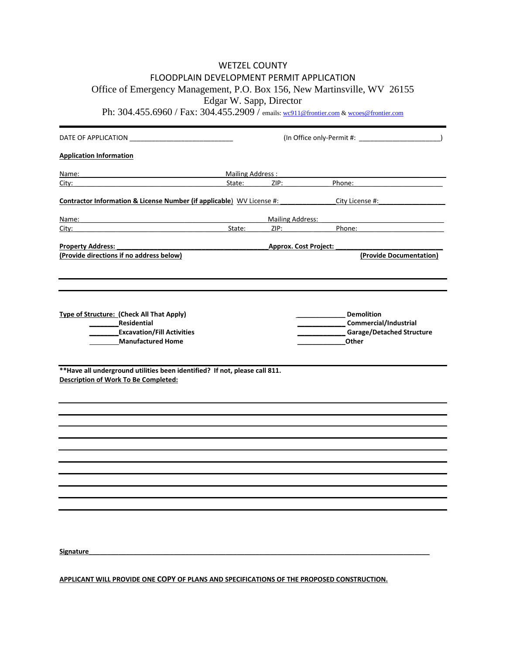## WETZEL COUNTY FLOODPLAIN DEVELOPMENT PERMIT APPLICATION Office of Emergency Management, P.O. Box 156, New Martinsville, WV 26155 Edgar W. Sapp, Director

Ph: 304.455.6960 / Fax: 304.455.2909 / emails: <u>wc911@frontier.com</u> & <u>wcoes@frontier.com</u>

| <b>Application Information</b>                                                                                             |                              |                                     |                                                                                                                                                   |  |  |  |  |  |  |
|----------------------------------------------------------------------------------------------------------------------------|------------------------------|-------------------------------------|---------------------------------------------------------------------------------------------------------------------------------------------------|--|--|--|--|--|--|
| Name: 2008 2010 2020 2020 2021 2022 2022 2023 2024 2022 2023 2024 2022 2023 2024 2022 2023 2024 2022 2023 2024             |                              | Mailing Address : Mailing Address : |                                                                                                                                                   |  |  |  |  |  |  |
| City:                                                                                                                      | State:                       | ZIP:                                | Phone:                                                                                                                                            |  |  |  |  |  |  |
| Contractor Information & License Number (if applicable) WV License #:                                                      |                              |                                     | City License #: New York 2014                                                                                                                     |  |  |  |  |  |  |
| <u>Name:</u>                                                                                                               |                              | Mailing Address:                    |                                                                                                                                                   |  |  |  |  |  |  |
| City: State:                                                                                                               |                              |                                     | ZIP: Andrea Maria Maria Maria Maria Maria Maria Maria Maria Maria Maria Maria Maria Maria Maria Maria Maria Ma<br>Phone: <u>www.community.com</u> |  |  |  |  |  |  |
| <b>Property Address:</b>                                                                                                   | <b>Approx. Cost Project:</b> |                                     |                                                                                                                                                   |  |  |  |  |  |  |
| (Provide directions if no address below)                                                                                   |                              |                                     | (Provide Documentation)                                                                                                                           |  |  |  |  |  |  |
|                                                                                                                            |                              |                                     |                                                                                                                                                   |  |  |  |  |  |  |
| Type of Structure: (Check All That Apply)<br>Residential<br><b>Excavation/Fill Activities</b><br><b>Manufactured Home</b>  |                              |                                     | <b>Demolition</b><br><b>Commercial/Industrial</b><br>_Garage/Detached Structure<br>Other                                                          |  |  |  |  |  |  |
| ** Have all underground utilities been identified? If not, please call 811.<br><b>Description of Work To Be Completed:</b> |                              |                                     |                                                                                                                                                   |  |  |  |  |  |  |
|                                                                                                                            |                              |                                     |                                                                                                                                                   |  |  |  |  |  |  |
|                                                                                                                            |                              |                                     |                                                                                                                                                   |  |  |  |  |  |  |
|                                                                                                                            |                              |                                     |                                                                                                                                                   |  |  |  |  |  |  |
|                                                                                                                            |                              |                                     |                                                                                                                                                   |  |  |  |  |  |  |
|                                                                                                                            |                              |                                     |                                                                                                                                                   |  |  |  |  |  |  |
|                                                                                                                            |                              |                                     |                                                                                                                                                   |  |  |  |  |  |  |
|                                                                                                                            |                              |                                     |                                                                                                                                                   |  |  |  |  |  |  |
|                                                                                                                            |                              |                                     |                                                                                                                                                   |  |  |  |  |  |  |
| Signature                                                                                                                  |                              |                                     |                                                                                                                                                   |  |  |  |  |  |  |
|                                                                                                                            |                              |                                     |                                                                                                                                                   |  |  |  |  |  |  |

**APPLICANT WILL PROVIDE ONE COPY OF PLANS AND SPECIFICATIONS OF THE PROPOSED CONSTRUCTION.**